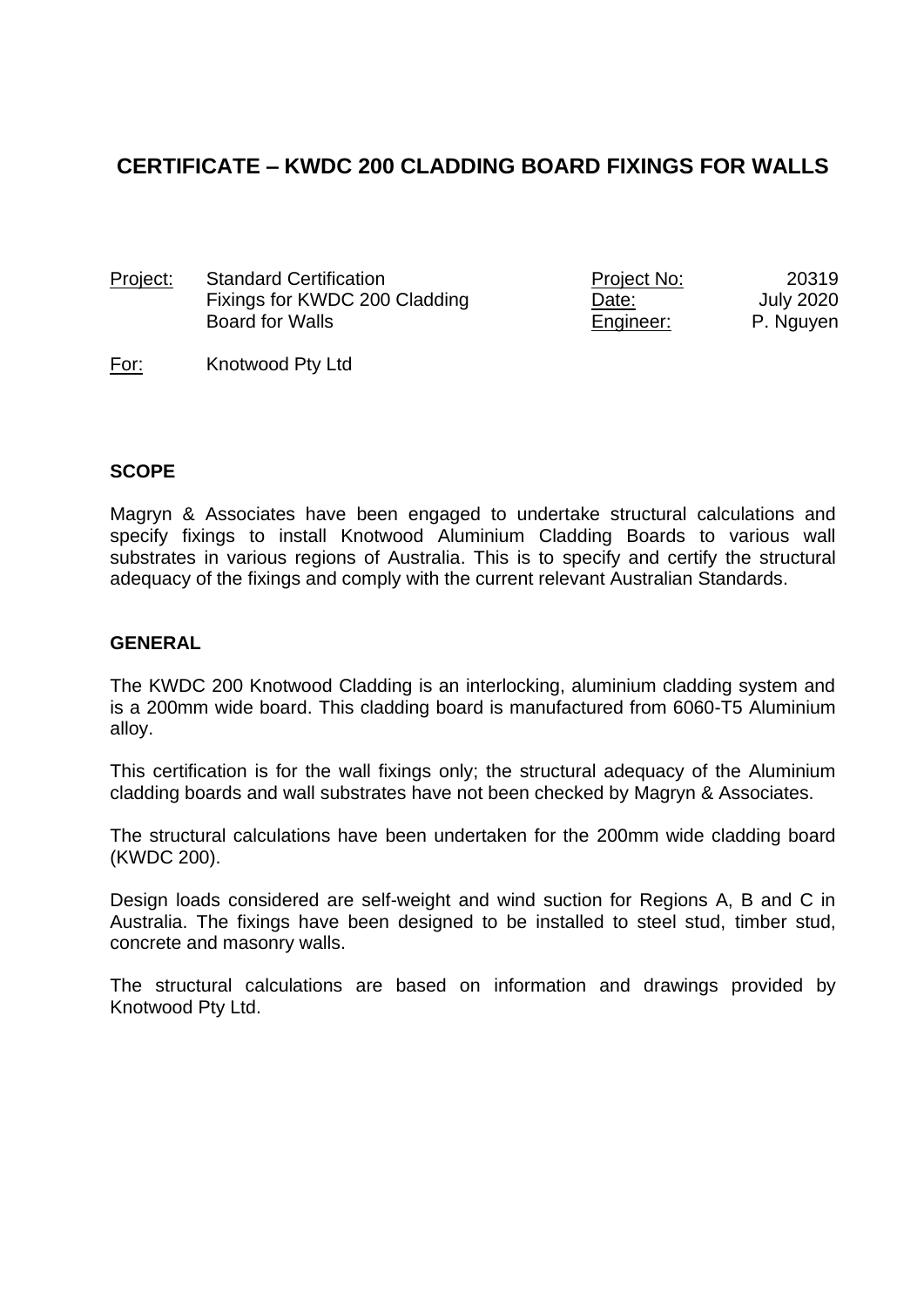# **CERTIFICATE – KWDC 200 CLADDING BOARD FIXINGS FOR WALLS**

Project: Standard Certification Fixings for KWDC 200 Cladding Board for Walls

| Project No: | 20319            |
|-------------|------------------|
| Date:       | <b>July 2020</b> |
| Engineer:   | P. Nguyen        |

#### For: Knotwood Pty Ltd

#### **SCOPE**

Magryn & Associates have been engaged to undertake structural calculations and specify fixings to install Knotwood Aluminium Cladding Boards to various wall substrates in various regions of Australia. This is to specify and certify the structural adequacy of the fixings and comply with the current relevant Australian Standards.

#### **GENERAL**

The KWDC 200 Knotwood Cladding is an interlocking, aluminium cladding system and is a 200mm wide board. This cladding board is manufactured from 6060-T5 Aluminium alloy.

This certification is for the wall fixings only; the structural adequacy of the Aluminium cladding boards and wall substrates have not been checked by Magryn & Associates.

The structural calculations have been undertaken for the 200mm wide cladding board (KWDC 200).

Design loads considered are self-weight and wind suction for Regions A, B and C in Australia. The fixings have been designed to be installed to steel stud, timber stud, concrete and masonry walls.

The structural calculations are based on information and drawings provided by Knotwood Pty Ltd.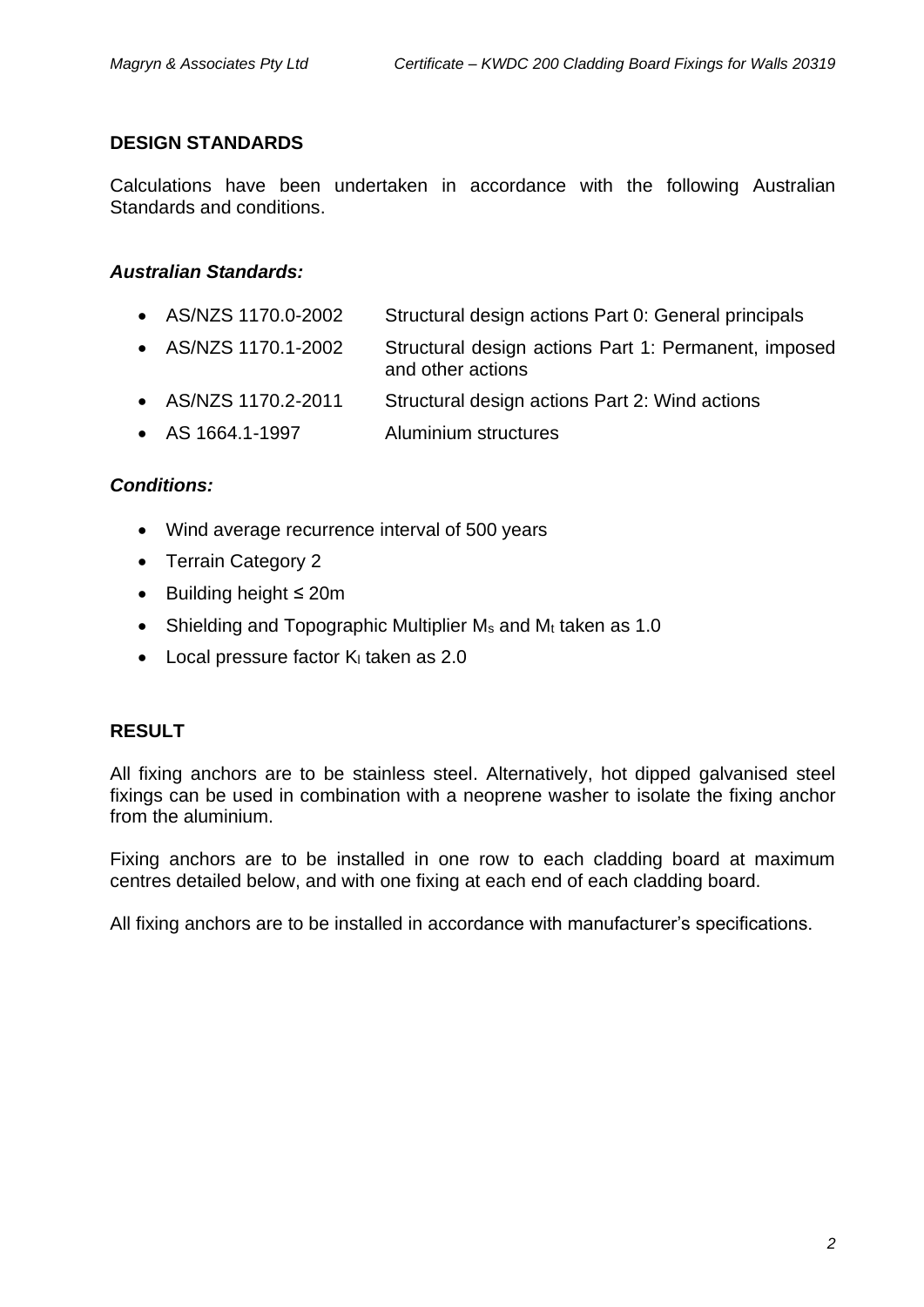#### **DESIGN STANDARDS**

Calculations have been undertaken in accordance with the following Australian Standards and conditions.

## *Australian Standards:*

- AS/NZS 1170.0-2002 Structural design actions Part 0: General principals
- AS/NZS 1170.1-2002 Structural design actions Part 1: Permanent, imposed and other actions
- AS/NZS 1170.2-2011 Structural design actions Part 2: Wind actions
- AS 1664.1-1997 Aluminium structures

#### *Conditions:*

- Wind average recurrence interval of 500 years
- Terrain Category 2
- Building height ≤ 20m
- Shielding and Topographic Multiplier  $M_s$  and  $M_t$  taken as 1.0
- $\bullet$  Local pressure factor K<sub>i</sub> taken as 2.0

## **RESULT**

All fixing anchors are to be stainless steel. Alternatively, hot dipped galvanised steel fixings can be used in combination with a neoprene washer to isolate the fixing anchor from the aluminium.

Fixing anchors are to be installed in one row to each cladding board at maximum centres detailed below, and with one fixing at each end of each cladding board.

All fixing anchors are to be installed in accordance with manufacturer's specifications.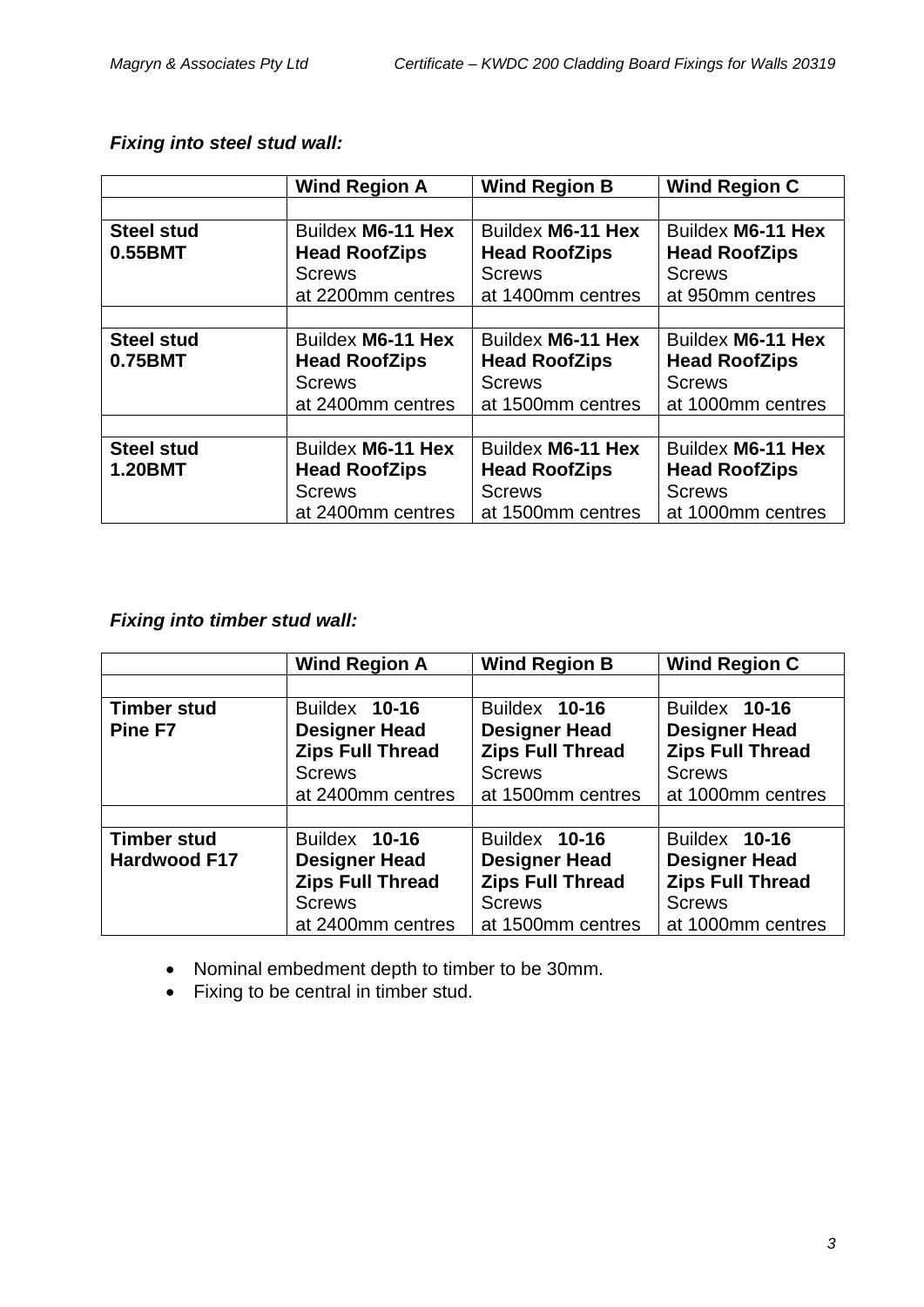|                   | <b>Wind Region A</b> | <b>Wind Region B</b> | <b>Wind Region C</b> |
|-------------------|----------------------|----------------------|----------------------|
|                   |                      |                      |                      |
| <b>Steel stud</b> | Buildex M6-11 Hex    | Buildex M6-11 Hex    | Buildex M6-11 Hex    |
| 0.55BMT           | <b>Head RoofZips</b> | <b>Head RoofZips</b> | <b>Head RoofZips</b> |
|                   | <b>Screws</b>        | <b>Screws</b>        | <b>Screws</b>        |
|                   | at 2200mm centres    | at 1400mm centres    | at 950mm centres     |
|                   |                      |                      |                      |
| <b>Steel stud</b> | Buildex M6-11 Hex    | Buildex M6-11 Hex    | Buildex M6-11 Hex    |
| 0.75BMT           | <b>Head RoofZips</b> | <b>Head RoofZips</b> | <b>Head RoofZips</b> |
|                   | <b>Screws</b>        | <b>Screws</b>        | <b>Screws</b>        |
|                   | at 2400mm centres    | at 1500mm centres    | at 1000mm centres    |
|                   |                      |                      |                      |
| <b>Steel stud</b> | Buildex M6-11 Hex    | Buildex M6-11 Hex    | Buildex M6-11 Hex    |
| <b>1.20BMT</b>    | <b>Head RoofZips</b> | <b>Head RoofZips</b> | <b>Head RoofZips</b> |
|                   | <b>Screws</b>        | <b>Screws</b>        | <b>Screws</b>        |
|                   | at 2400mm centres    | at 1500mm centres    | at 1000mm centres    |

## *Fixing into steel stud wall:*

## *Fixing into timber stud wall:*

|                                           | <b>Wind Region A</b>                                                                                   | <b>Wind Region B</b>                                                                                   | <b>Wind Region C</b>                                                                                   |
|-------------------------------------------|--------------------------------------------------------------------------------------------------------|--------------------------------------------------------------------------------------------------------|--------------------------------------------------------------------------------------------------------|
|                                           |                                                                                                        |                                                                                                        |                                                                                                        |
| <b>Timber stud</b><br>Pine F7             | Buildex 10-16<br><b>Designer Head</b><br><b>Zips Full Thread</b><br><b>Screws</b><br>at 2400mm centres | Buildex 10-16<br><b>Designer Head</b><br><b>Zips Full Thread</b><br><b>Screws</b><br>at 1500mm centres | Buildex 10-16<br><b>Designer Head</b><br><b>Zips Full Thread</b><br><b>Screws</b><br>at 1000mm centres |
|                                           |                                                                                                        |                                                                                                        |                                                                                                        |
| <b>Timber stud</b><br><b>Hardwood F17</b> | Buildex 10-16<br><b>Designer Head</b><br><b>Zips Full Thread</b><br><b>Screws</b><br>at 2400mm centres | Buildex 10-16<br><b>Designer Head</b><br><b>Zips Full Thread</b><br><b>Screws</b><br>at 1500mm centres | Buildex 10-16<br><b>Designer Head</b><br><b>Zips Full Thread</b><br><b>Screws</b><br>at 1000mm centres |

- Nominal embedment depth to timber to be 30mm.
- Fixing to be central in timber stud.